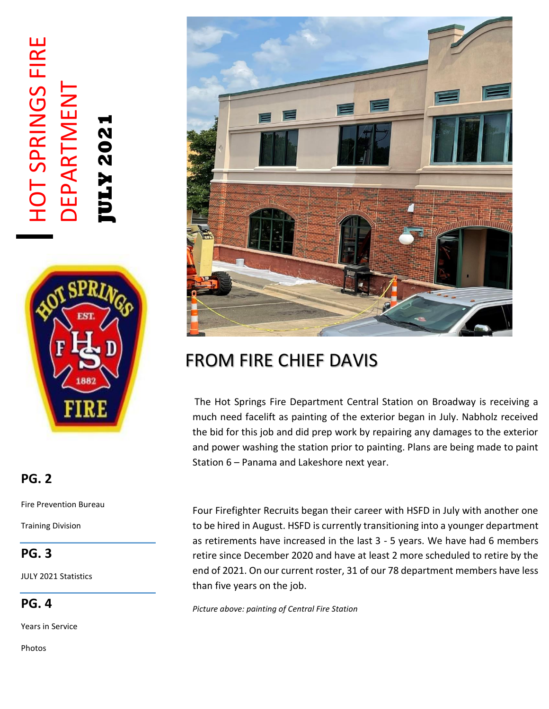# HOT SPRINGS FIRE HOT SPRINGS FIRE DEPARTMENT **DEPARTMENT JULY 2021**



### **PG. 2**

Fire Prevention Bureau

Training Division

### **PG. 3**

JULY 2021 Statistics

**PG. 4**

Years in Service

Photos



## FROM FIRE CHIEF DAVIS

The Hot Springs Fire Department Central Station on Broadway is receiving a much need facelift as painting of the exterior began in July. Nabholz received the bid for this job and did prep work by repairing any damages to the exterior and power washing the station prior to painting. Plans are being made to paint Station 6 – Panama and Lakeshore next year.

Four Firefighter Recruits began their career with HSFD in July with another one to be hired in August. HSFD is currently transitioning into a younger department as retirements have increased in the last 3 - 5 years. We have had 6 members retire since December 2020 and have at least 2 more scheduled to retire by the end of 2021. On our current roster, 31 of our 78 department members have less than five years on the job.

*Picture above: painting of Central Fire Station*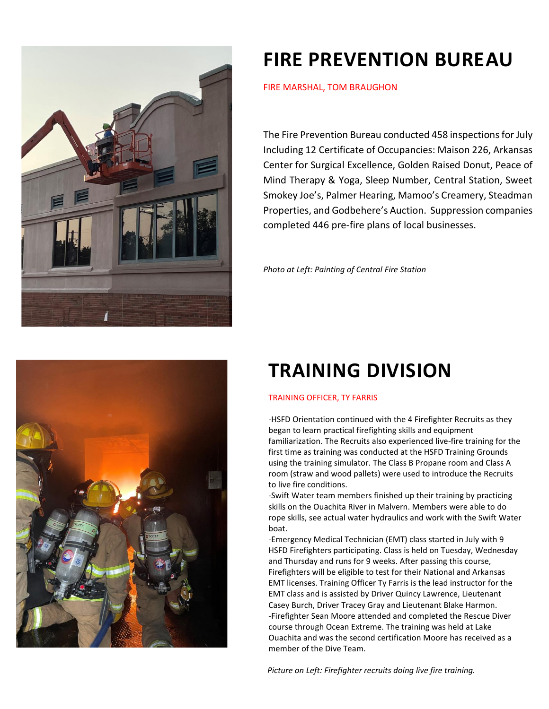



## **FIRE PREVENTION BUREAU**

FIRE MARSHAL, TOM BRAUGHON

The Fire Prevention Bureau conducted 458 inspections for July Including 12 Certificate of Occupancies: Maison 226, Arkansas Center for Surgical Excellence, Golden Raised Donut, Peace of Mind Therapy & Yoga, Sleep Number, Central Station, Sweet Smokey Joe's, Palmer Hearing, Mamoo's Creamery, Steadman Properties, and Godbehere's Auction. Suppression companies completed 446 pre-fire plans of local businesses.

*Photo at Left: Painting of Central Fire Station*

## **TRAINING DIVISION**

#### TRAINING OFFICER, TY FARRIS

-HSFD Orientation continued with the 4 Firefighter Recruits as they began to learn practical firefighting skills and equipment familiarization. The Recruits also experienced live-fire training for the first time as training was conducted at the HSFD Training Grounds using the training simulator. The Class B Propane room and Class A room (straw and wood pallets) were used to introduce the Recruits to live fire conditions.

-Swift Water team members finished up their training by practicing skills on the Ouachita River in Malvern. Members were able to do rope skills, see actual water hydraulics and work with the Swift Water boat.

-Emergency Medical Technician (EMT) class started in July with 9 HSFD Firefighters participating. Class is held on Tuesday, Wednesday and Thursday and runs for 9 weeks. After passing this course, Firefighters will be eligible to test for their National and Arkansas EMT licenses. Training Officer Ty Farris is the lead instructor for the EMT class and is assisted by Driver Quincy Lawrence, Lieutenant Casey Burch, Driver Tracey Gray and Lieutenant Blake Harmon. -Firefighter Sean Moore attended and completed the Rescue Diver course through Ocean Extreme. The training was held at Lake Ouachita and was the second certification Moore has received as a member of the Dive Team.

 *Picture on Left: Firefighter recruits doing live fire training.*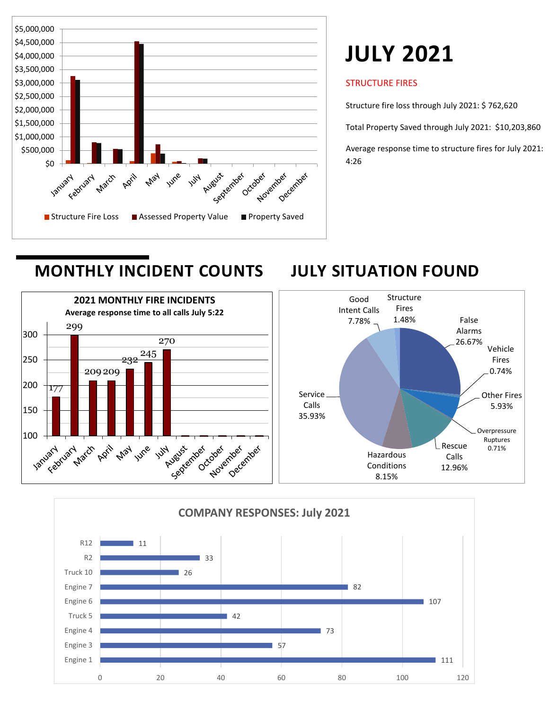

## **JULY 2021**

#### STRUCTURE FIRES

Structure fire loss through July 2021: \$ 762,620

Total Property Saved through July 2021: \$10,203,860

Average response time to structure fires for July 2021: 4:26

### **MONTHLY INCIDENT COUNTS JULY SITUATION FOUND**